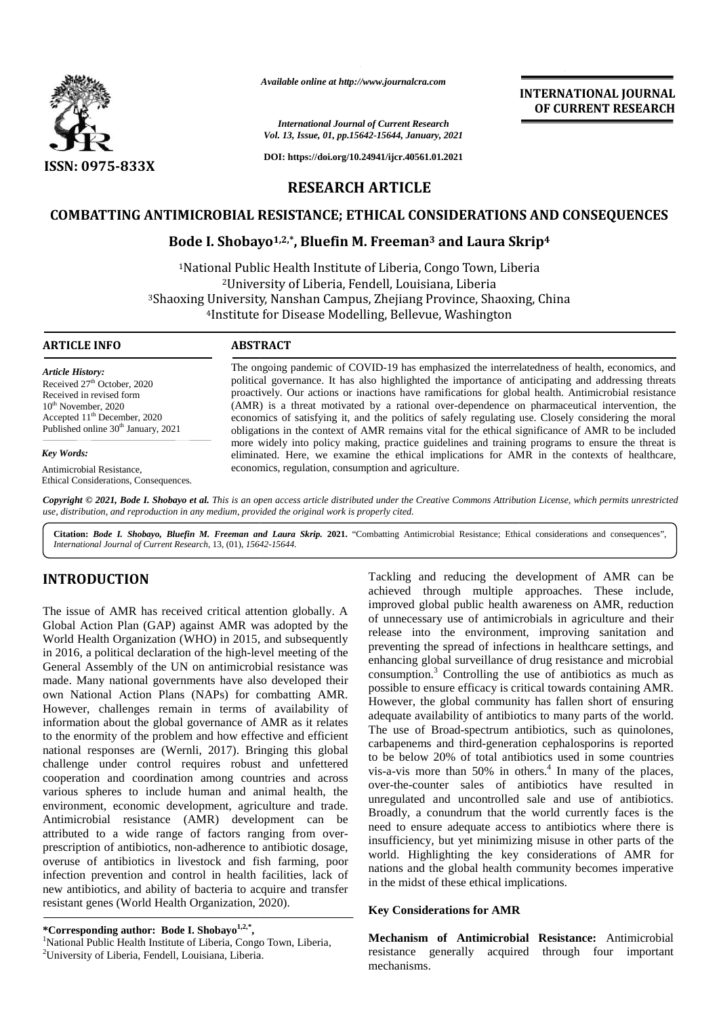

*Available online at http://www.journalcra.com*

### *International Journal of Current Research Vol. 13, Issue, 01, pp.15642-15644, January, 2021*

**DOI: https://doi.org/10.24941/ijcr.40561.01.2021**

# **INTERNATIONAL JOURNAL OF CURRENT RESEARCH**

**RESEARCH ARTICLE**

# COMBATTING ANTIMICROBIAL RESISTANCE; ETHICAL CONSIDERATIONS AND CONSEQUENCES<br>Bode I. Shobayo<sup>1,2,\*</sup>, Bluefin M. Freeman<sup>3</sup> and Laura Skrip<sup>4</sup>

# **Bode I. Shobayo1,2,\*, Bluefin M. Freeman<sup>3</sup> and Laura Skrip<sup>4</sup>**

<sup>1</sup>National Public Health Institute of Liberia, Congo Town, Liberia <sup>2</sup>University of Liberia, Fendell, Louisiana, Liberia <sup>3</sup>Shaoxing University, Nanshan Campus, Zhejiang Province, Shaoxing, China University, Nanshan Campus, Zhejiang Province, Shaoxing, China<br>4Institute for Disease Modelling, Bellevue, Washington

### **ARTICLE INFO ABSTRACT ARTICLE ABSTRACT**

*Article History:* Received 27<sup>th</sup> October, 2020 Received in revised form 10<sup>th</sup> November, 2020 Accepted 11<sup>th</sup> December, 2020 Published online 30<sup>th</sup> January, 2021

*Key Words:*

Antimicrobial Resistance, Ethical Considerations, Consequences.

The ongoing pandemic of COVID-19 has emphasized the interrelatedness of health, economics, and political governance. It has also highlighted the importance of anticipating and addressing threats proactively. Our actions or inactions have ramifications for global health. Antimicrobial resistance (AMR) is a threat motivated by a rational over-dependence on pharmaceutical intervention, the economics of satisfying it, and the politics of safely regulating use. Closely considering the moral obligations in the context of AMR remains vital for the ethical significance of AMR to be included more widely into policy making, practice guidelines and training programs to ensure the threat is eliminated. Here, we examine the ethical implications for AMR in the contexts of healthcare, economics, regulation, consumption and agriculture. The ongoing pandemic of COVID-19 has emphasized the interrelatedness of health, economics, an political governance. It has also highlighted the importance of anticipating and addressing three proactively. Our actions or in *INTEREARCH ARTICLE*<br> *International Journal Current Research*<br> *International Current Research*<br> *International Current Research*<br> *International Current Research*<br> **INTEREARCH ARTICLE**<br> **INTEREARCH ARTICLE**<br> **INTEREARCH** 

Copyright © 2021, Bode I. Shobayo et al. This is an open access article distributed under the Creative Commons Attribution License, which permits unrestricted use, distribution, and reproduction in any medium, provided the original work is properly cited.

Citation: Bode I. Shobayo, Bluefin M. Freeman and Laura Skrip. 2021. "Combatting Antimicrobial Resistance; Ethical considerations and consequences", *International Journal of Current Research*, 13, (01), *15642-15644*.

# **INTRODUCTION INTRODUCTION**

The issue of AMR has received critical attention globally. A Global Action Plan (GAP) against AMR was adopted by the  $\frac{61}{100}$ World Health Organization (WHO) in 2015, and subsequently in 2016, a political declaration of the high-level meeting of the General Assembly of the UN on antimicrobial resistance was made. Many national governments have also developed their own National Action Plans (NAPs) for combatting AMR. However, challenges remain in terms of availability of information about the global governance of AMR as it relates to the enormity of the problem and how effective and efficient national responses are (Wernli, 2017). Bringing this global challenge under control requires robust and unfettered cooperation and coordination among countries and across various spheres to include human and animal health, the environment, economic development, agriculture and trade. Antimicrobial resistance (AMR) development can be attributed to a wide range of factors ranging from over prescription of antibiotics, non-adherence to antibiotic dosage, overuse of antibiotics in livestock and fish farming, poor infection prevention and control in health facilities, lack of  $\frac{10}{10}$ new antibiotics, and ability of bacteria to acquire and transfer resistant genes (World Health Organization, 2020). The issue of AMR has received critical attention globally. A Global Action Plan (GAP) against AMR was adopted by the World Health Organization (WHO) in 2015, and subsequently in 2016, a political declaration of the high-le However, challenges remain in terms of availability of information about the global governance of AMR as it relates to the enormity of the problem and how effective and efficient national responses are (Wernli, 2017). Brin overuse of antibiotics in livestock and fish farming, poor<br>infection prevention and control in health facilities, lack of<br>new antibiotics, and ability of bacteria to acquire and transfer

Tackling and reducing the development of AMR can be achieved through multiple approaches. These include, improved global public health awareness on AMR, reduction of unnecessary use of antimicrobials in agriculture and their release into the environment, improving sanitation and preventing the spread of infections in healthcare settings, and enhancing global surveillance of drug resistance and microbial consumption.<sup>3</sup> Controlling the use of antibiotics as much as possible to ensure efficacy is critical towards containing AMR. However, the global community has fallen short of ensuring adequate availability of antibiotics to many parts of the world. The use of Broad-spectrum antibiotics, such as quinolones, carbapenems and third-generation cephalosporins is reported to be below 20% of total antibiotics used in some countries vis-a-vis more than  $50\%$  in others.<sup>4</sup> In many of the places, over-the-counter sales of antibiotics have resulted in unregulated and uncontrolled sale and use of antibiotics. Broadly, a conundrum that the world currently faces is the need to ensure adequate access to antibiotics where there is insufficiency, but yet minimizing misuse in other parts of the world. Highlighting the key considerations of AMR for nations and the global health community becomes imperative in the midst of these ethical implications. **INTRODUCTION**<br> **Tacking and reducing the development of AMR has reseived critical attention globally. A improved global pathic health averages on AMR, reducing CJAB and the state of AMR health and CJAB under the state of** iting the spread of infections in healthcare settings, and<br>cing global surveillance of drug resistance and microbial<br>mption.<sup>3</sup> Controlling the use of antibiotics as much as<br>le to ensure efficacy is critical towards contai OF CURRENT RESEARCH<br>
1973 X<br>
1973 The of the of uncontrolled sale controlled sales and the original 2021<br>
1985 The original CONSIDERATIONS AND CONSEQUENCES<br>
1986 L. Shochogy <sup>1.2</sup>, **Diuricis** Fermical control controlled event critical attention globally. A complement of the environment, improving saintstantion global principle and their present in the environment, improving saintstantion and on antimicrobial resistance into the high-level INTERNATIONAL<br> **EXERVATIONAL**<br> **EXERVATIONAL CONSIDERATIONS (ISONET ALSO ASSEMBLEMENT IN:**<br> **EXERCISE ARCH ARTICLE**<br> **EXERCISE ARCH ARTICLE**<br> **EXERCISE ARCH ARTICLE**<br> **EXERCISE ARCH ARTICLE**<br> **EXERCISE ARCH ARTICLE**<br> **EXER** 

## **Key Considerations for AMR**

**Mechanism of Antimicrobial Resistance:** Antimicrobial resistance generally acquired through four important mechanisms.

<sup>\*</sup>Corresponding author: Bode I. Shobayo<sup>1,2,\*</sup>, <sup>1</sup>National Public Health Institute of Liberia, Congo Town, Liberia, <sup>2</sup>University of Liberia, Fendell, Louisiana, Liberia.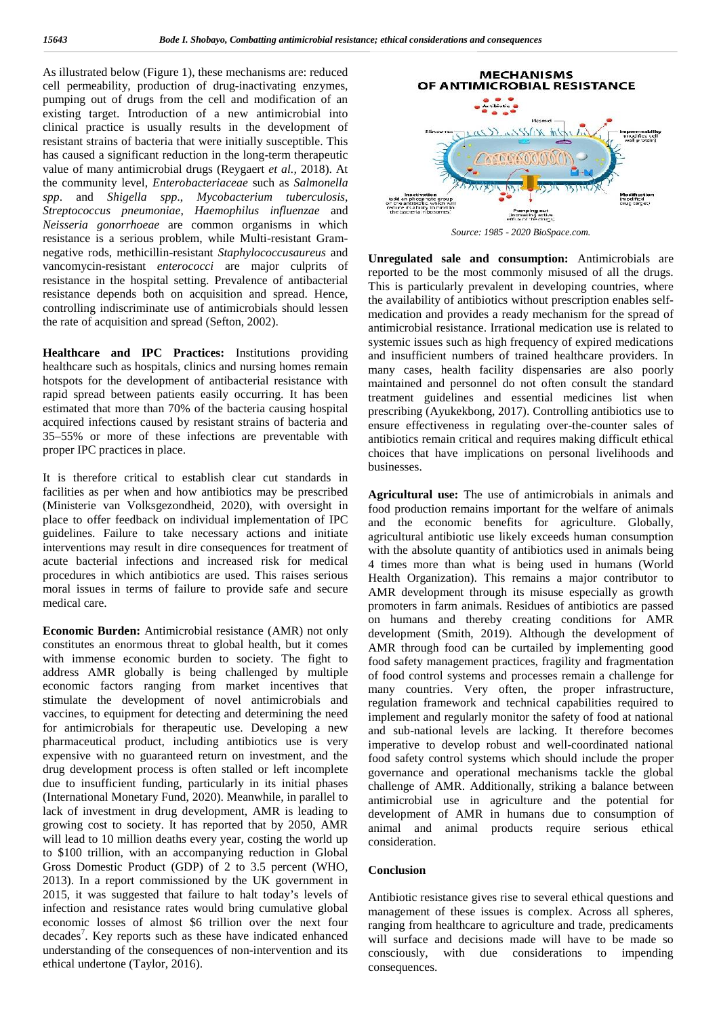As illustrated below (Figure 1), these mechanisms are: reduced cell permeability, production of drug-inactivating enzymes, pumping out of drugs from the cell and modification of an existing target. Introduction of a new antimicrobial into clinical practice is usually results in the development of resistant strains of bacteria that were initially susceptible. This has caused a significant reduction in the long-term therapeutic value of many antimicrobial drugs (Reygaert *et al.,* 2018). At the community level, *Enterobacteriaceae* such as *Salmonella spp*. and *Shigella spp*., *Mycobacterium tuberculosis*, *Streptococcus pneumoniae*, *Haemophilus influenzae* and *Neisseria gonorrhoeae* are common organisms in which resistance is a serious problem, while Multi-resistant Gram negative rods, methicillin-resistant *Staphylococcusaureus* and vancomycin-resistant *enterococci* are major culprits of resistance in the hospital setting. Prevalence of antibacterial resistance depends both on acquisition and spread. Hence, controlling indiscriminate use of antimicrobials should lessen the rate of acquisition and spread (Sefton, 2002).

**Healthcare and IPC Practices:** Institutions providing healthcare such as hospitals, clinics and nursing homes remain hotspots for the development of antibacterial resistance with rapid spread between patients easily occurring. It has been estimated that more than 70% of the bacteria causing hospital acquired infections caused by resistant strains of bacteria and 35–55% or more of these infections are preventable with proper IPC practices in place.

It is therefore critical to establish clear cut standards in facilities as per when and how antibiotics may be prescribed (Ministerie van Volksgezondheid, 2020), with oversight in place to offer feedback on individual implementation of IPC guidelines. Failure to take necessary actions and initiate interventions may result in dire consequences for treatment of acute bacterial infections and increased risk for medical procedures in which antibiotics are used. This raises serious moral issues in terms of failure to provide safe and secure medical care.

**Economic Burden:** Antimicrobial resistance (AMR) not only constitutes an enormous threat to global health, but it comes with immense economic burden to society. The fight to address AMR globally is being challenged by multiple economic factors ranging from market incentives that stimulate the development of novel antimicrobials and vaccines, to equipment for detecting and determining the need for antimicrobials for therapeutic use. Developing a new pharmaceutical product, including antibiotics use is very expensive with no guaranteed return on investment, and the drug development process is often stalled or left incomplete due to insufficient funding, particularly in its initial phases (International Monetary Fund, 2020). Meanwhile, in parallel to lack of investment in drug development, AMR is leading to growing cost to society. It has reported that by 2050, AMR will lead to 10 million deaths every year, costing the world up to \$100 trillion, with an accompanying reduction in Global Gross Domestic Product (GDP) of 2 to 3.5 percent (WHO, 2013). In a report commissioned by the UK government in 2015, it was suggested that failure to halt today's levels of infection and resistance rates would bring cumulative global economic losses of almost \$6 trillion over the next four decades<sup>7</sup>. Key reports such as these have indicated enhanced  $\frac{u}{w}$ understanding of the consequences of non-intervention and its ethical undertone (Taylor, 2016).



*Source: 1985 - 2020 BioSpace.com.*

**Unregulated sale and consumption:** Antimicrobials are reported to be the most commonly misused of all the drugs. This is particularly prevalent in developing countries, where the availability of antibiotics without prescription enables self medication and provides a ready mechanism for the spread of antimicrobial resistance. Irrational medication use is related to systemic issues such as high frequency of expired medications and insufficient numbers of trained healthcare providers. In many cases, health facility dispensaries are also poorly maintained and personnel do not often consult the standard treatment guidelines and essential medicines list when prescribing (Ayukekbong, 2017). Controlling antibiotics use to ensure effectiveness in regulating over-the-counter sales of antibiotics remain critical and requires making difficult ethical choices that have implications on personal livelihoods and businesses.

**Agricultural use:** The use of antimicrobials in animals and food production remains important for the welfare of animals and the economic benefits for agriculture. Globally, agricultural antibiotic use likely exceeds human consumption with the absolute quantity of antibiotics used in animals being 4 times more than what is being used in humans (World Health Organization). This remains a major contributor to AMR development through its misuse especially as growth promoters in farm animals. Residues of antibiotics are passed on humans and thereby creating conditions for AMR development (Smith, 2019). Although the development of AMR through food can be curtailed by implementing good food safety management practices, fragility and fragmentation of food control systems and processes remain a challenge for many countries. Very often, the proper infrastructure, regulation framework and technical capabilities required to implement and regularly monitor the safety of food at national and sub-national levels are lacking. It therefore becomes imperative to develop robust and well-coordinated national food safety control systems which should include the proper governance and operational mechanisms tackle the global challenge of AMR. Additionally, striking a balance between antimicrobial use in agriculture and the potential for development of AMR in humans due to consumption of animal and animal products require serious ethical consideration.

### **Conclusion**

Antibiotic resistance gives rise to several ethical questions and management of these issues is complex. Across all spheres, ranging from healthcare to agriculture and trade, predicaments will surface and decisions made will have to be made so consciously, with due considerations to impending consequences.